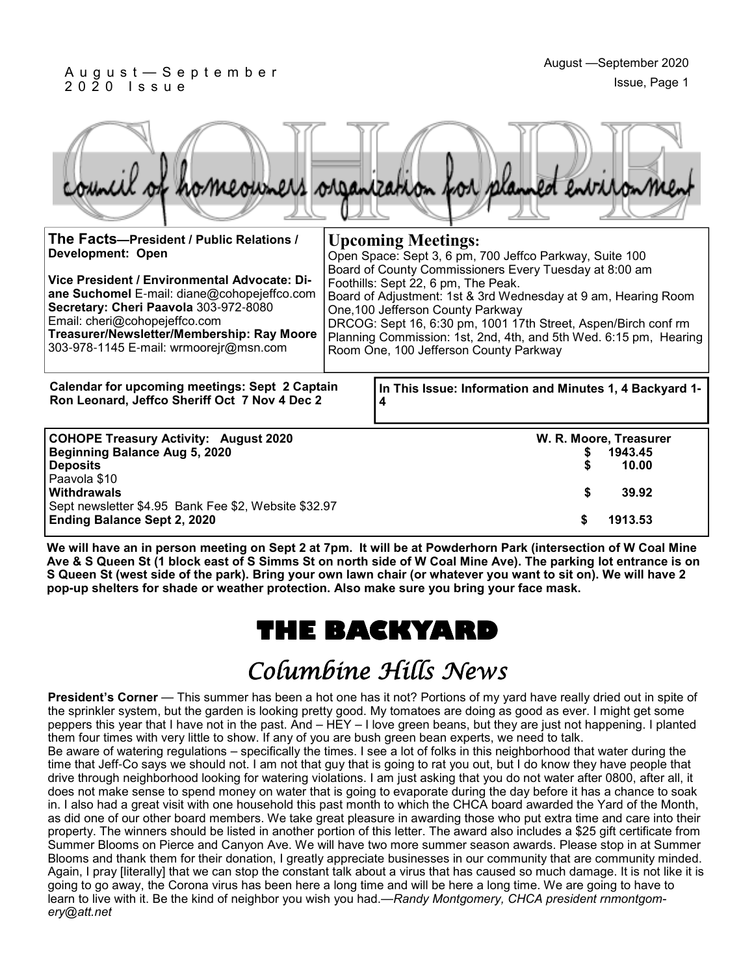#### A u g u s t — S e p t e m b e r 2 0 2 0 I s s u e

| council of homeowners organization for planned environment                                             |                                                                                                                                                                                                                                                                                                                                                                                                                                                                               |  |
|--------------------------------------------------------------------------------------------------------|-------------------------------------------------------------------------------------------------------------------------------------------------------------------------------------------------------------------------------------------------------------------------------------------------------------------------------------------------------------------------------------------------------------------------------------------------------------------------------|--|
|                                                                                                        | <b>Upcoming Meetings:</b><br>Open Space: Sept 3, 6 pm, 700 Jeffco Parkway, Suite 100<br>Board of County Commissioners Every Tuesday at 8:00 am<br>Foothills: Sept 22, 6 pm, The Peak.<br>Board of Adjustment: 1st & 3rd Wednesday at 9 am, Hearing Room<br>One, 100 Jefferson County Parkway<br>DRCOG: Sept 16, 6:30 pm, 1001 17th Street, Aspen/Birch conf rm<br>Planning Commission: 1st, 2nd, 4th, and 5th Wed. 6:15 pm, Hearing<br>Room One, 100 Jefferson County Parkway |  |
|                                                                                                        |                                                                                                                                                                                                                                                                                                                                                                                                                                                                               |  |
| <b>Calendar for upcoming meetings: Sept 2 Captain</b><br>Ron Leonard, Jeffco Sheriff Oct 7 Nov 4 Dec 2 | In This Issue: Information and Minutes 1, 4 Backyard 1-<br>4                                                                                                                                                                                                                                                                                                                                                                                                                  |  |
| Sept newsletter \$4.95 Bank Fee \$2, Website \$32.97                                                   | W. R. Moore, Treasurer<br>1943.45<br>\$<br>10.00<br>\$<br>39.92<br>1913.53<br>\$                                                                                                                                                                                                                                                                                                                                                                                              |  |
|                                                                                                        |                                                                                                                                                                                                                                                                                                                                                                                                                                                                               |  |

**We will have an in person meeting on Sept 2 at 7pm. It will be at Powderhorn Park (intersection of W Coal Mine Ave & S Queen St (1 block east of S Simms St on north side of W Coal Mine Ave). The parking lot entrance is on S Queen St (west side of the park). Bring your own lawn chair (or whatever you want to sit on). We will have 2 pop-up shelters for shade or weather protection. Also make sure you bring your face mask.** 

### **THE BACKYARD**

## Columbine Hills News

**President's Corner** — This summer has been a hot one has it not? Portions of my yard have really dried out in spite of the sprinkler system, but the garden is looking pretty good. My tomatoes are doing as good as ever. I might get some peppers this year that I have not in the past. And – HEY – I love green beans, but they are just not happening. I planted them four times with very little to show. If any of you are bush green bean experts, we need to talk. Be aware of watering regulations – specifically the times. I see a lot of folks in this neighborhood that water during the

time that Jeff-Co says we should not. I am not that guy that is going to rat you out, but I do know they have people that drive through neighborhood looking for watering violations. I am just asking that you do not water after 0800, after all, it does not make sense to spend money on water that is going to evaporate during the day before it has a chance to soak in. I also had a great visit with one household this past month to which the CHCA board awarded the Yard of the Month, as did one of our other board members. We take great pleasure in awarding those who put extra time and care into their property. The winners should be listed in another portion of this letter. The award also includes a \$25 gift certificate from Summer Blooms on Pierce and Canyon Ave. We will have two more summer season awards. Please stop in at Summer Blooms and thank them for their donation, I greatly appreciate businesses in our community that are community minded. Again, I pray [literally] that we can stop the constant talk about a virus that has caused so much damage. It is not like it is going to go away, the Corona virus has been here a long time and will be here a long time. We are going to have to learn to live with it. Be the kind of neighbor you wish you had.—*Randy Montgomery, CHCA president rnmontgomery@att.net*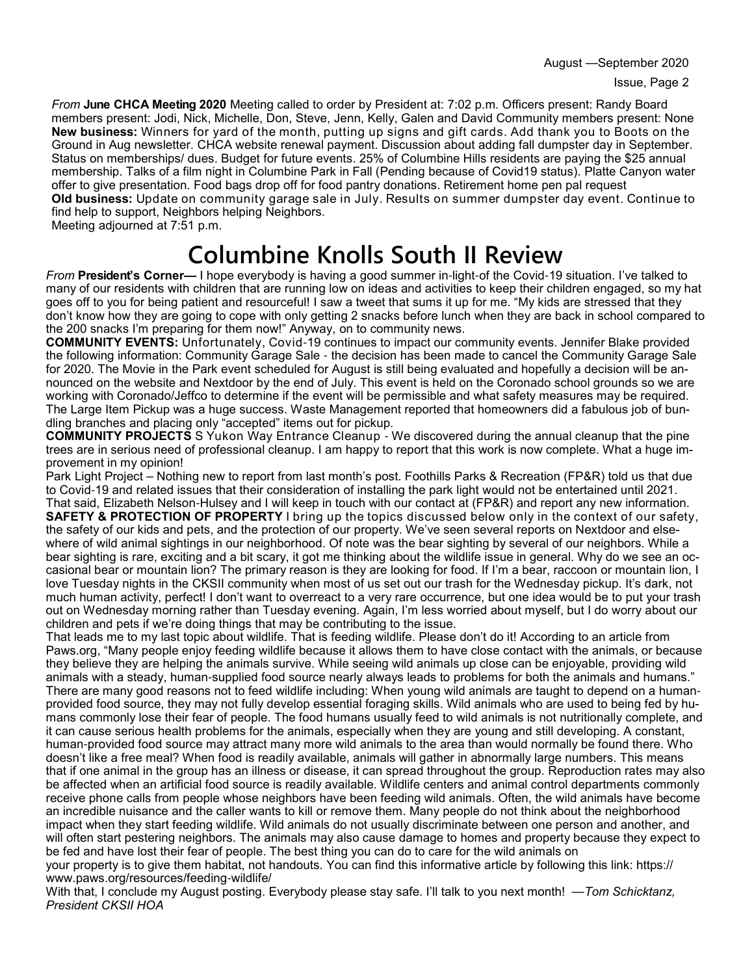August —September 2020

*From* **June CHCA Meeting 2020** Meeting called to order by President at: 7:02 p.m. Officers present: Randy Board members present: Jodi, Nick, Michelle, Don, Steve, Jenn, Kelly, Galen and David Community members present: None **New business:** Winners for yard of the month, putting up signs and gift cards. Add thank you to Boots on the Ground in Aug newsletter. CHCA website renewal payment. Discussion about adding fall dumpster day in September. Status on memberships/ dues. Budget for future events. 25% of Columbine Hills residents are paying the \$25 annual membership. Talks of a film night in Columbine Park in Fall (Pending because of Covid19 status). Platte Canyon water offer to give presentation. Food bags drop off for food pantry donations. Retirement home pen pal request **Old business:** Update on community garage sale in July. Results on summer dumpster day event. Continue to

find help to support, Neighbors helping Neighbors. Meeting adjourned at 7:51 p.m.

# **Columbine Knolls South II Review**

*From* **President's Corner—** I hope everybody is having a good summer in-light-of the Covid-19 situation. I've talked to many of our residents with children that are running low on ideas and activities to keep their children engaged, so my hat goes off to you for being patient and resourceful! I saw a tweet that sums it up for me. "My kids are stressed that they don't know how they are going to cope with only getting 2 snacks before lunch when they are back in school compared to the 200 snacks I'm preparing for them now!" Anyway, on to community news.

**COMMUNITY EVENTS:** Unfortunately, Covid-19 continues to impact our community events. Jennifer Blake provided the following information: Community Garage Sale - the decision has been made to cancel the Community Garage Sale for 2020. The Movie in the Park event scheduled for August is still being evaluated and hopefully a decision will be announced on the website and Nextdoor by the end of July. This event is held on the Coronado school grounds so we are working with Coronado/Jeffco to determine if the event will be permissible and what safety measures may be required. The Large Item Pickup was a huge success. Waste Management reported that homeowners did a fabulous job of bundling branches and placing only "accepted" items out for pickup.

**COMMUNITY PROJECTS** S Yukon Way Entrance Cleanup - We discovered during the annual cleanup that the pine trees are in serious need of professional cleanup. I am happy to report that this work is now complete. What a huge improvement in my opinion!

Park Light Project – Nothing new to report from last month's post. Foothills Parks & Recreation (FP&R) told us that due to Covid-19 and related issues that their consideration of installing the park light would not be entertained until 2021. That said, Elizabeth Nelson-Hulsey and I will keep in touch with our contact at (FP&R) and report any new information.

**SAFETY & PROTECTION OF PROPERTY** I bring up the topics discussed below only in the context of our safety, the safety of our kids and pets, and the protection of our property. We've seen several reports on Nextdoor and elsewhere of wild animal sightings in our neighborhood. Of note was the bear sighting by several of our neighbors. While a bear sighting is rare, exciting and a bit scary, it got me thinking about the wildlife issue in general. Why do we see an occasional bear or mountain lion? The primary reason is they are looking for food. If I'm a bear, raccoon or mountain lion, I love Tuesday nights in the CKSII community when most of us set out our trash for the Wednesday pickup. It's dark, not much human activity, perfect! I don't want to overreact to a very rare occurrence, but one idea would be to put your trash out on Wednesday morning rather than Tuesday evening. Again, I'm less worried about myself, but I do worry about our children and pets if we're doing things that may be contributing to the issue.

That leads me to my last topic about wildlife. That is feeding wildlife. Please don't do it! According to an article from Paws.org, "Many people enjoy feeding wildlife because it allows them to have close contact with the animals, or because they believe they are helping the animals survive. While seeing wild animals up close can be enjoyable, providing wild animals with a steady, human-supplied food source nearly always leads to problems for both the animals and humans." There are many good reasons not to feed wildlife including: When young wild animals are taught to depend on a humanprovided food source, they may not fully develop essential foraging skills. Wild animals who are used to being fed by humans commonly lose their fear of people. The food humans usually feed to wild animals is not nutritionally complete, and it can cause serious health problems for the animals, especially when they are young and still developing. A constant, human-provided food source may attract many more wild animals to the area than would normally be found there. Who doesn't like a free meal? When food is readily available, animals will gather in abnormally large numbers. This means that if one animal in the group has an illness or disease, it can spread throughout the group. Reproduction rates may also be affected when an artificial food source is readily available. Wildlife centers and animal control departments commonly receive phone calls from people whose neighbors have been feeding wild animals. Often, the wild animals have become an incredible nuisance and the caller wants to kill or remove them. Many people do not think about the neighborhood impact when they start feeding wildlife. Wild animals do not usually discriminate between one person and another, and will often start pestering neighbors. The animals may also cause damage to homes and property because they expect to be fed and have lost their fear of people. The best thing you can do to care for the wild animals on your property is to give them habitat, not handouts. You can find this informative article by following this link: https://

www.paws.org/resources/feeding-wildlife/ With that, I conclude my August posting. Everybody please stay safe. I'll talk to you next month! —*Tom Schicktanz, President CKSII HOA*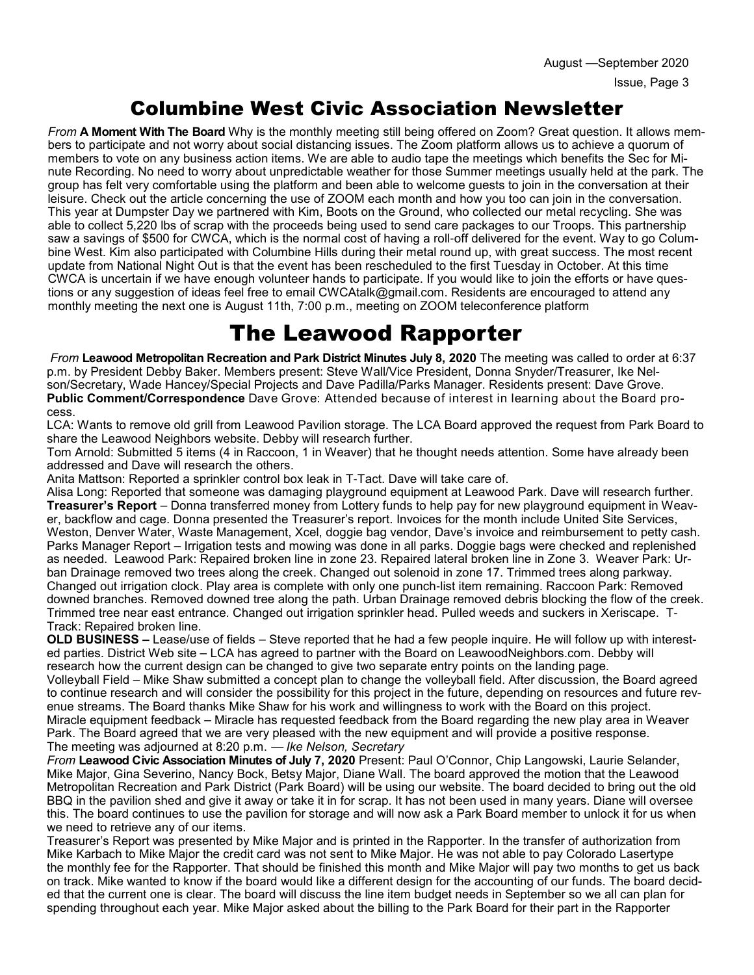### Columbine West Civic Association Newsletter

*From* **A Moment With The Board** Why is the monthly meeting still being offered on Zoom? Great question. It allows members to participate and not worry about social distancing issues. The Zoom platform allows us to achieve a quorum of members to vote on any business action items. We are able to audio tape the meetings which benefits the Sec for Minute Recording. No need to worry about unpredictable weather for those Summer meetings usually held at the park. The group has felt very comfortable using the platform and been able to welcome guests to join in the conversation at their leisure. Check out the article concerning the use of ZOOM each month and how you too can join in the conversation. This year at Dumpster Day we partnered with Kim, Boots on the Ground, who collected our metal recycling. She was able to collect 5,220 lbs of scrap with the proceeds being used to send care packages to our Troops. This partnership saw a savings of \$500 for CWCA, which is the normal cost of having a roll-off delivered for the event. Way to go Columbine West. Kim also participated with Columbine Hills during their metal round up, with great success. The most recent update from National Night Out is that the event has been rescheduled to the first Tuesday in October. At this time CWCA is uncertain if we have enough volunteer hands to participate. If you would like to join the efforts or have questions or any suggestion of ideas feel free to email CWCAtalk@gmail.com. Residents are encouraged to attend any monthly meeting the next one is August 11th, 7:00 p.m., meeting on ZOOM teleconference platform

### The Leawood Rapporter

*From* **Leawood Metropolitan Recreation and Park District Minutes July 8, 2020** The meeting was called to order at 6:37 p.m. by President Debby Baker. Members present: Steve Wall/Vice President, Donna Snyder/Treasurer, Ike Nelson/Secretary, Wade Hancey/Special Projects and Dave Padilla/Parks Manager. Residents present: Dave Grove. **Public Comment/Correspondence** Dave Grove: Attended because of interest in learning about the Board process.

LCA: Wants to remove old grill from Leawood Pavilion storage. The LCA Board approved the request from Park Board to share the Leawood Neighbors website. Debby will research further.

Tom Arnold: Submitted 5 items (4 in Raccoon, 1 in Weaver) that he thought needs attention. Some have already been addressed and Dave will research the others.

Anita Mattson: Reported a sprinkler control box leak in T-Tact. Dave will take care of.

Alisa Long: Reported that someone was damaging playground equipment at Leawood Park. Dave will research further. **Treasurer's Report** – Donna transferred money from Lottery funds to help pay for new playground equipment in Weaver, backflow and cage. Donna presented the Treasurer's report. Invoices for the month include United Site Services, Weston, Denver Water, Waste Management, Xcel, doggie bag vendor, Dave's invoice and reimbursement to petty cash. Parks Manager Report – Irrigation tests and mowing was done in all parks. Doggie bags were checked and replenished as needed. Leawood Park: Repaired broken line in zone 23. Repaired lateral broken line in Zone 3. Weaver Park: Urban Drainage removed two trees along the creek. Changed out solenoid in zone 17. Trimmed trees along parkway. Changed out irrigation clock. Play area is complete with only one punch-list item remaining. Raccoon Park: Removed downed branches. Removed downed tree along the path. Urban Drainage removed debris blocking the flow of the creek. Trimmed tree near east entrance. Changed out irrigation sprinkler head. Pulled weeds and suckers in Xeriscape. T-Track: Repaired broken line.

**OLD BUSINESS –** Lease/use of fields – Steve reported that he had a few people inquire. He will follow up with interested parties. District Web site – LCA has agreed to partner with the Board on LeawoodNeighbors.com. Debby will research how the current design can be changed to give two separate entry points on the landing page.

Volleyball Field – Mike Shaw submitted a concept plan to change the volleyball field. After discussion, the Board agreed to continue research and will consider the possibility for this project in the future, depending on resources and future revenue streams. The Board thanks Mike Shaw for his work and willingness to work with the Board on this project. Miracle equipment feedback – Miracle has requested feedback from the Board regarding the new play area in Weaver Park. The Board agreed that we are very pleased with the new equipment and will provide a positive response. The meeting was adjourned at 8:20 p.m. — *Ike Nelson, Secretary* 

*From* **Leawood Civic Association Minutes of July 7, 2020** Present: Paul O'Connor, Chip Langowski, Laurie Selander, Mike Major, Gina Severino, Nancy Bock, Betsy Major, Diane Wall. The board approved the motion that the Leawood Metropolitan Recreation and Park District (Park Board) will be using our website. The board decided to bring out the old BBQ in the pavilion shed and give it away or take it in for scrap. It has not been used in many years. Diane will oversee this. The board continues to use the pavilion for storage and will now ask a Park Board member to unlock it for us when we need to retrieve any of our items.

Treasurer's Report was presented by Mike Major and is printed in the Rapporter. In the transfer of authorization from Mike Karbach to Mike Major the credit card was not sent to Mike Major. He was not able to pay Colorado Lasertype the monthly fee for the Rapporter. That should be finished this month and Mike Major will pay two months to get us back on track. Mike wanted to know if the board would like a different design for the accounting of our funds. The board decided that the current one is clear. The board will discuss the line item budget needs in September so we all can plan for spending throughout each year. Mike Major asked about the billing to the Park Board for their part in the Rapporter